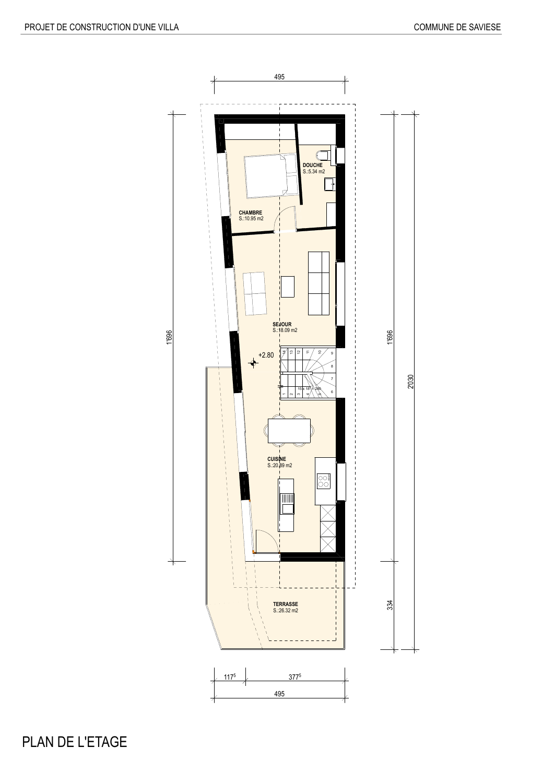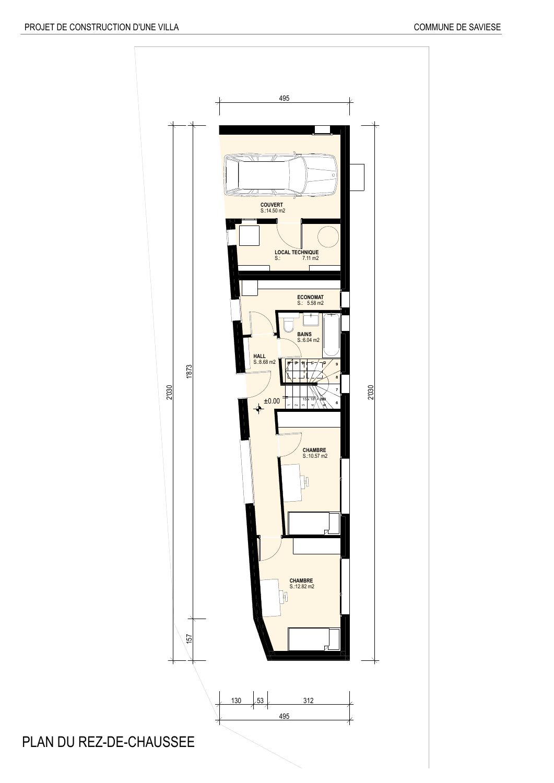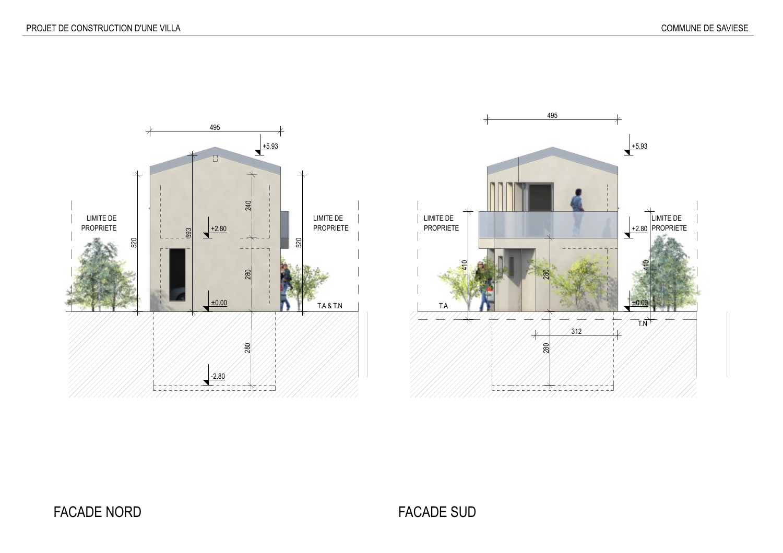

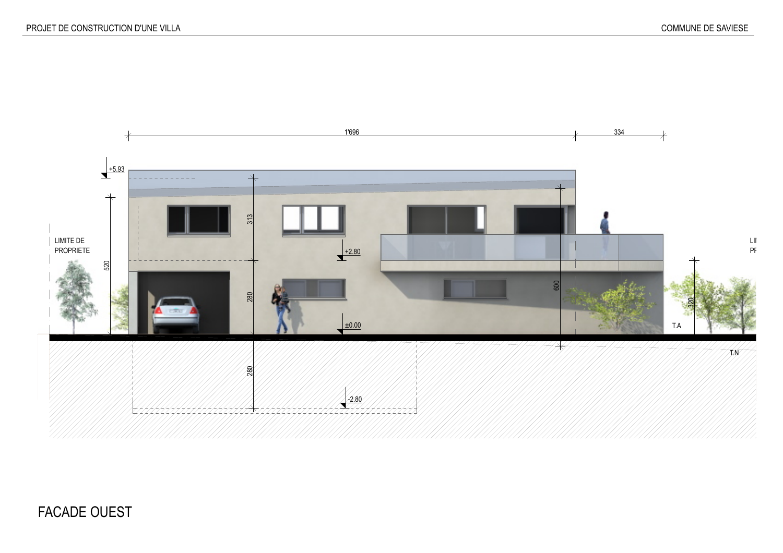

## FACADE OUEST